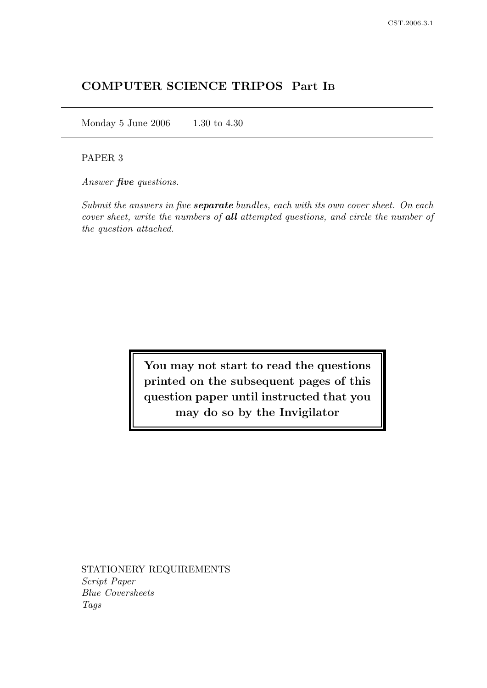# COMPUTER SCIENCE TRIPOS Part I<sup>B</sup>

Monday 5 June 2006 1.30 to 4.30

## PAPER 3

Answer **five** questions.

Submit the answers in five **separate** bundles, each with its own cover sheet. On each cover sheet, write the numbers of all attempted questions, and circle the number of the question attached.

> You may not start to read the questions printed on the subsequent pages of this question paper until instructed that you may do so by the Invigilator

STATIONERY REQUIREMENTS Script Paper Blue Coversheets Tags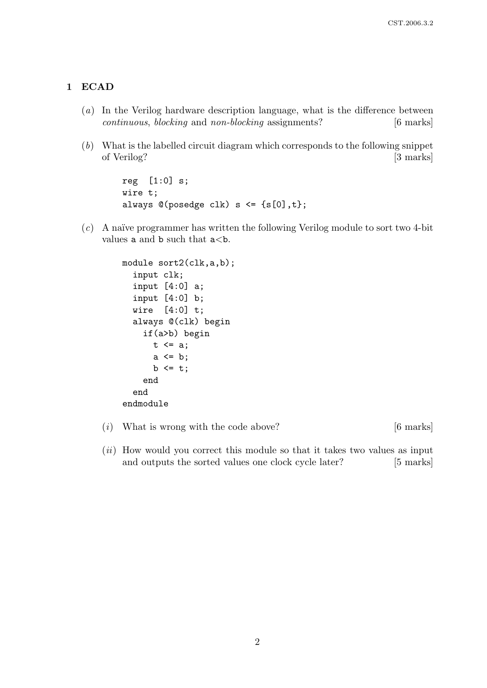# 1 ECAD

- (a) In the Verilog hardware description language, what is the difference between continuous, blocking and non-blocking assignments? [6 marks]
- (b) What is the labelled circuit diagram which corresponds to the following snippet of Verilog? [3 marks]

```
reg [1:0] s;
wire t;
always @(posedge clk) s \leq {s[0], t};
```
 $(c)$  A naïve programmer has written the following Verilog module to sort two 4-bit values **a** and **b** such that  $a < b$ .

```
module sort2(clk,a,b);
  input clk;
  input [4:0] a;
  input [4:0] b;
  wire [4:0] t;
  always @(clk) begin
    if(a>b) begin
      t \leq a;
      a \leq b;
      b \leq t;
    end
  end
endmodule
```
- (i) What is wrong with the code above?  $[6 \text{ marks}]$
- $(ii)$  How would you correct this module so that it takes two values as input and outputs the sorted values one clock cycle later? [5 marks]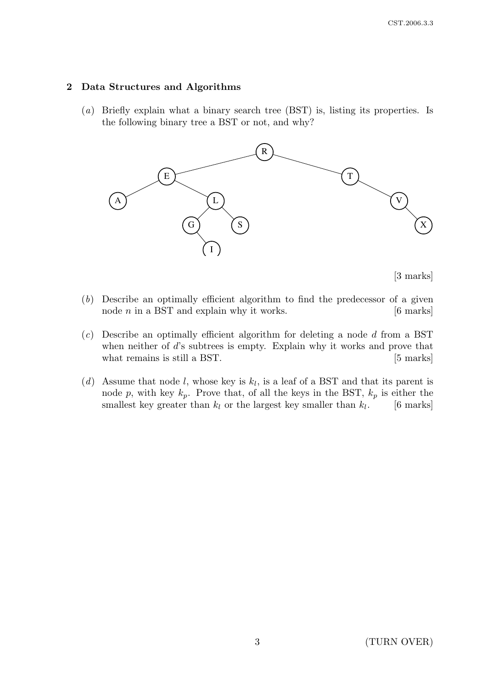#### 2 Data Structures and Algorithms

(a) Briefly explain what a binary search tree (BST) is, listing its properties. Is the following binary tree a BST or not, and why?



[3 marks]

- (b) Describe an optimally efficient algorithm to find the predecessor of a given node  $n$  in a BST and explain why it works.  $[6 \text{ marks}]$
- $(c)$  Describe an optimally efficient algorithm for deleting a node d from a BST when neither of d's subtrees is empty. Explain why it works and prove that what remains is still a BST. [5 marks]
- (d) Assume that node l, whose key is  $k_l$ , is a leaf of a BST and that its parent is node p, with key  $k_p$ . Prove that, of all the keys in the BST,  $k_p$  is either the smallest key greater than  $k_l$  or the largest key smaller than  $k_l$ . [6 marks]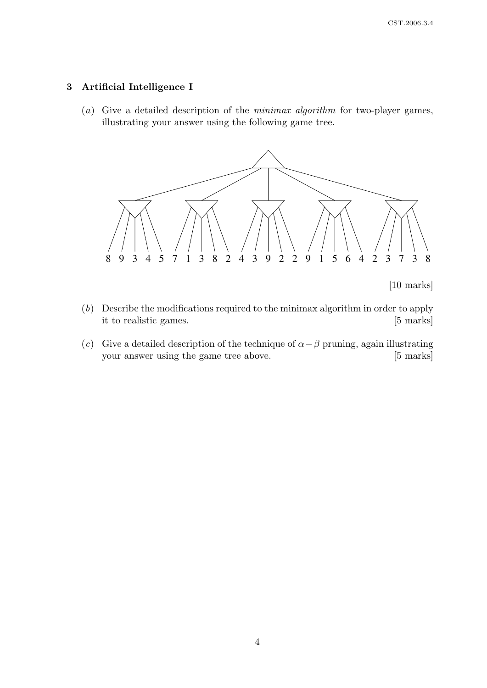## 3 Artificial Intelligence I

(a) Give a detailed description of the minimax algorithm for two-player games, illustrating your answer using the following game tree.



[10 marks]

- (b) Describe the modifications required to the minimax algorithm in order to apply it to realistic games. [5 marks]
- (c) Give a detailed description of the technique of  $\alpha \beta$  pruning, again illustrating your answer using the game tree above. [5 marks]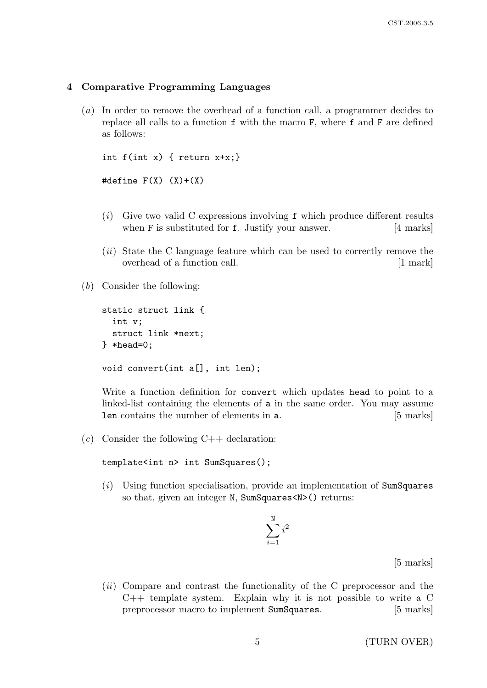#### 4 Comparative Programming Languages

(a) In order to remove the overhead of a function call, a programmer decides to replace all calls to a function f with the macro F, where f and F are defined as follows:

```
int f(int x) { return x+x; }#define F(X) (X)+(X)
```
- $(i)$  Give two valid C expressions involving f which produce different results when **F** is substituted for **f**. Justify your answer. [4 marks]
- (*ii*) State the C language feature which can be used to correctly remove the overhead of a function call. [1 mark]
- (b) Consider the following:

```
static struct link {
  int v;
  struct link *next;
} *head=0;
void convert(int a[], int len);
```
Write a function definition for convert which updates head to point to a linked-list containing the elements of a in the same order. You may assume len contains the number of elements in a. [5 marks]

(c) Consider the following  $C++$  declaration:

template<int n> int SumSquares();

(i) Using function specialisation, provide an implementation of SumSquares so that, given an integer N, SumSquares<N>() returns:

$$
\sum_{i=1}^{\texttt{N}} i^2
$$

[5 marks]

 $(ii)$  Compare and contrast the functionality of the C preprocessor and the  $C++$  template system. Explain why it is not possible to write a  $C$ preprocessor macro to implement SumSquares. [5 marks]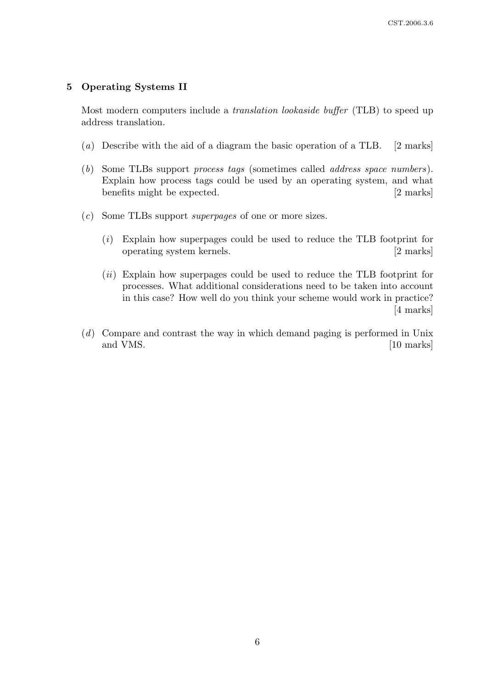## 5 Operating Systems II

Most modern computers include a translation lookaside buffer (TLB) to speed up address translation.

- (a) Describe with the aid of a diagram the basic operation of a TLB. [2 marks]
- (b) Some TLBs support process tags (sometimes called address space numbers). Explain how process tags could be used by an operating system, and what benefits might be expected. [2 marks]
- (c) Some TLBs support superpages of one or more sizes.
	- (i) Explain how superpages could be used to reduce the TLB footprint for operating system kernels. [2 marks]
	- (ii) Explain how superpages could be used to reduce the TLB footprint for processes. What additional considerations need to be taken into account in this case? How well do you think your scheme would work in practice? [4 marks]
- (d) Compare and contrast the way in which demand paging is performed in Unix and VMS. [10 marks]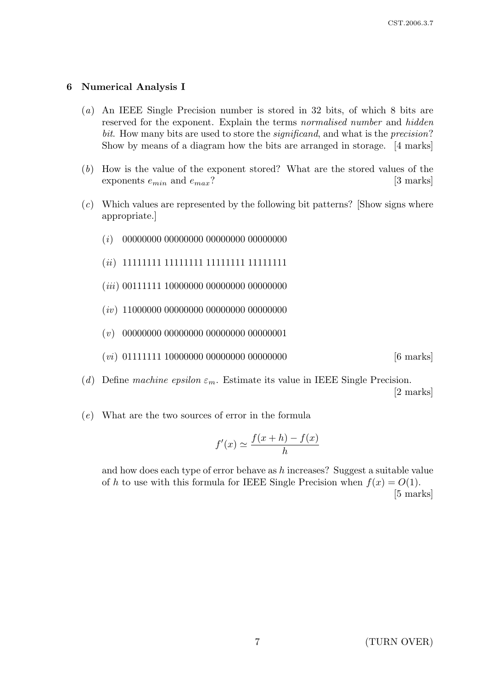#### 6 Numerical Analysis I

- (a) An IEEE Single Precision number is stored in 32 bits, of which 8 bits are reserved for the exponent. Explain the terms normalised number and hidden bit. How many bits are used to store the *significand*, and what is the *precision*? Show by means of a diagram how the bits are arranged in storage. [4 marks]
- (b) How is the value of the exponent stored? What are the stored values of the exponents  $e_{min}$  and  $e_{max}$ ? [3 marks]
- (c) Which values are represented by the following bit patterns? [Show signs where appropriate.]
	- (i) 00000000 00000000 00000000 00000000
	- (ii) 11111111 11111111 11111111 11111111
	- (*iii*) 00111111 10000000 00000000 00000000
	- (*iv*) 11000000 00000000 00000000 00000000
	- (v) 00000000 00000000 00000000 00000001
	- $(vi)$  01111111 10000000 00000000 000000000 [6 marks]
- (d) Define machine epsilon  $\varepsilon_m$ . Estimate its value in IEEE Single Precision.

[2 marks]

(e) What are the two sources of error in the formula

$$
f'(x) \simeq \frac{f(x+h) - f(x)}{h}
$$

and how does each type of error behave as h increases? Suggest a suitable value of h to use with this formula for IEEE Single Precision when  $f(x) = O(1)$ . [5 marks]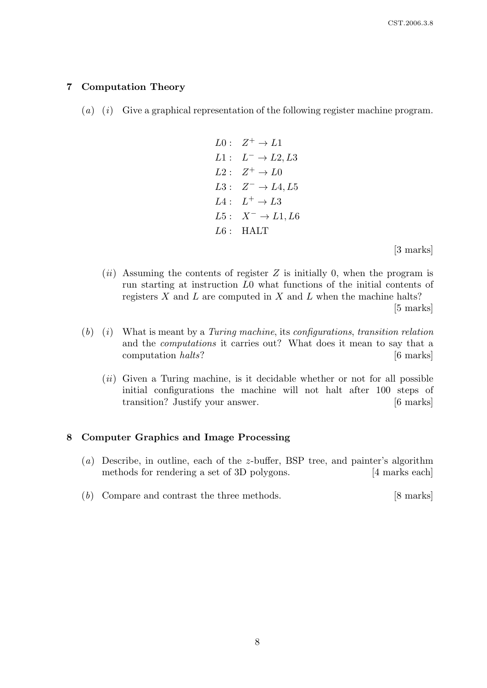#### 7 Computation Theory

- $(a)$  (i) Give a graphical representation of the following register machine program.
	- $L0: Z^+ \to L1$  $L1: L^- \rightarrow L2, L3$  $L2: Z^+ \to L0$  $L3: Z^- \rightarrow L4, L5$  $L4: L^+ \rightarrow L3$  $L5: X^- \rightarrow L1, L6$  $L6$ : HALT

[3 marks]

 $(ii)$  Assuming the contents of register Z is initially 0, when the program is run starting at instruction L0 what functions of the initial contents of registers  $X$  and  $L$  are computed in  $X$  and  $L$  when the machine halts?

[5 marks]

- $(b)$  (i) What is meant by a Turing machine, its configurations, transition relation and the computations it carries out? What does it mean to say that a computation halts? [6 marks]
	- $(ii)$  Given a Turing machine, is it decidable whether or not for all possible initial configurations the machine will not halt after 100 steps of transition? Justify your answer. [6 marks]

#### 8 Computer Graphics and Image Processing

- (a) Describe, in outline, each of the z-buffer, BSP tree, and painter's algorithm methods for rendering a set of 3D polygons. [4 marks each]
- (b) Compare and contrast the three methods. [8 marks]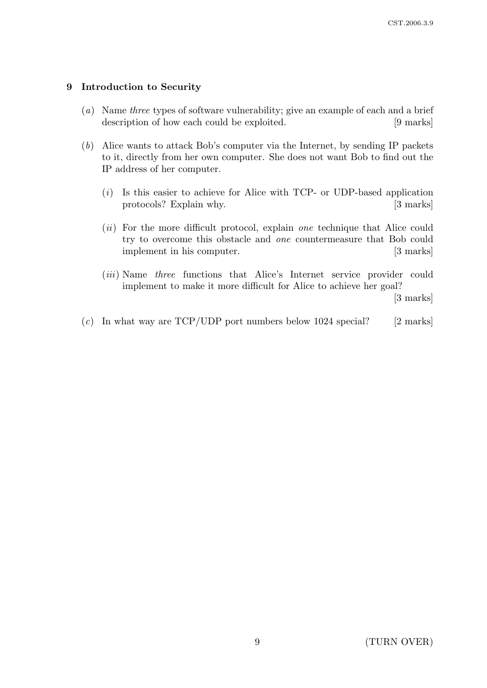## 9 Introduction to Security

- (a) Name three types of software vulnerability; give an example of each and a brief description of how each could be exploited. [9 marks]
- (b) Alice wants to attack Bob's computer via the Internet, by sending IP packets to it, directly from her own computer. She does not want Bob to find out the IP address of her computer.
	- $(i)$  Is this easier to achieve for Alice with TCP- or UDP-based application protocols? Explain why. [3 marks]
	- (*ii*) For the more difficult protocol, explain *one* technique that Alice could try to overcome this obstacle and one countermeasure that Bob could implement in his computer. [3 marks]
	- (*iii*) Name three functions that Alice's Internet service provider could implement to make it more difficult for Alice to achieve her goal? [3 marks]
- (c) In what way are  $TCP/UDP$  port numbers below 1024 special? [2 marks]